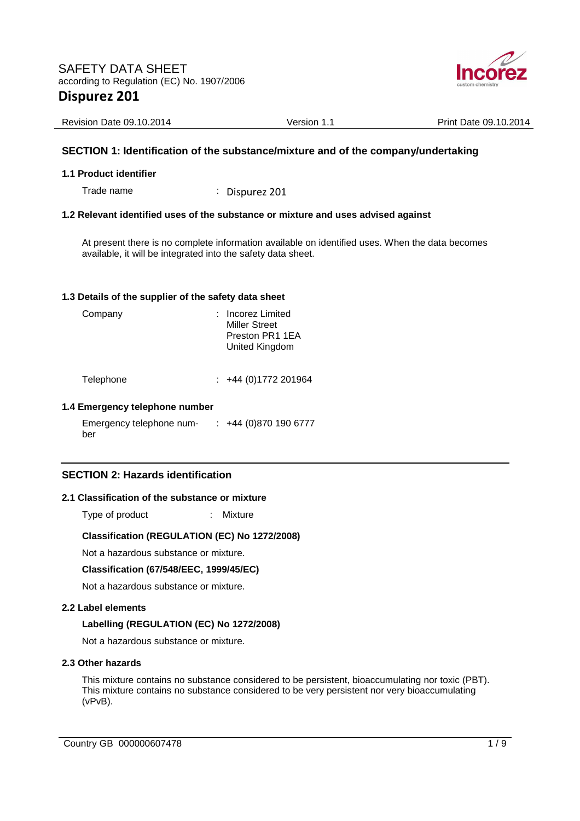

| Revision Date 09.10.2014 | Version 1.1 | Print Date 09.10.2014 |
|--------------------------|-------------|-----------------------|

### **SECTION 1: Identification of the substance/mixture and of the company/undertaking**

### **1.1 Product identifier**

Trade name : Dispurez 201

### **1.2 Relevant identified uses of the substance or mixture and uses advised against**

At present there is no complete information available on identified uses. When the data becomes available, it will be integrated into the safety data sheet.

### **1.3 Details of the supplier of the safety data sheet**

| Company   | : Incorez Limited<br><b>Miller Street</b><br>Preston PR1 1EA<br>United Kingdom |
|-----------|--------------------------------------------------------------------------------|
| Telephone | +44 (0) 1772 201964                                                            |

## **1.4 Emergency telephone number**

Emergency telephone number : +44 (0)870 190 6777

### **SECTION 2: Hazards identification**

### **2.1 Classification of the substance or mixture**

Type of product : Mixture

### **Classification (REGULATION (EC) No 1272/2008)**

Not a hazardous substance or mixture.

### **Classification (67/548/EEC, 1999/45/EC)**

Not a hazardous substance or mixture.

### **2.2 Label elements**

### **Labelling (REGULATION (EC) No 1272/2008)**

Not a hazardous substance or mixture.

### **2.3 Other hazards**

This mixture contains no substance considered to be persistent, bioaccumulating nor toxic (PBT). This mixture contains no substance considered to be very persistent nor very bioaccumulating (vPvB).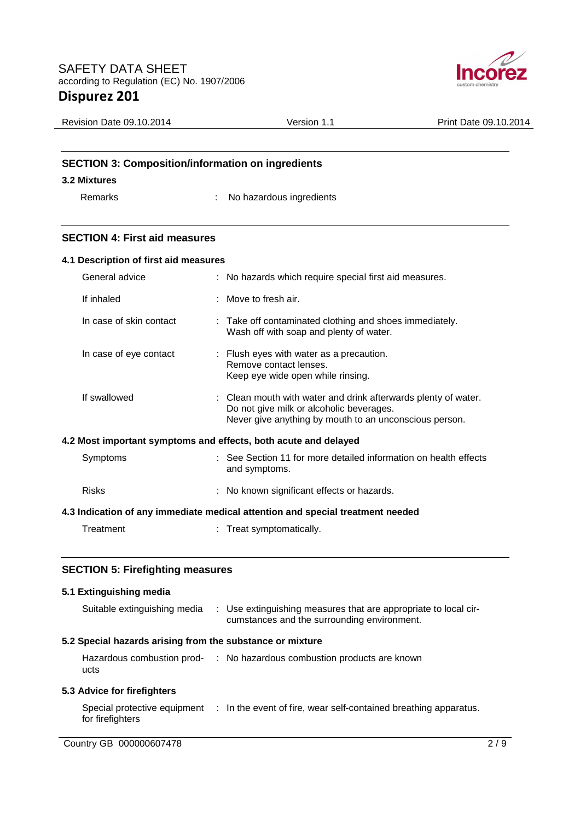

| <b>Revision Date 09.10.2014</b> | Version 1.1                                              | Print Date 09.10.2014 |
|---------------------------------|----------------------------------------------------------|-----------------------|
|                                 |                                                          |                       |
|                                 |                                                          |                       |
|                                 | <b>SECTION 3: Composition/information on ingredients</b> |                       |
| 3.2 Mixtures                    |                                                          |                       |
| Remarks                         | No hazardous ingredients                                 |                       |
|                                 |                                                          |                       |

### **SECTION 4: First aid measures**

|                                                                                | 4.1 Description of first aid measures |  |                                                                                                                                                                      |
|--------------------------------------------------------------------------------|---------------------------------------|--|----------------------------------------------------------------------------------------------------------------------------------------------------------------------|
|                                                                                | General advice                        |  | : No hazards which require special first aid measures.                                                                                                               |
| If inhaled                                                                     |                                       |  | $:$ Move to fresh air.                                                                                                                                               |
|                                                                                | In case of skin contact               |  | : Take off contaminated clothing and shoes immediately.<br>Wash off with soap and plenty of water.                                                                   |
|                                                                                | In case of eye contact                |  | : Flush eyes with water as a precaution.<br>Remove contact lenses.<br>Keep eye wide open while rinsing.                                                              |
| If swallowed                                                                   |                                       |  | : Clean mouth with water and drink afterwards plenty of water.<br>Do not give milk or alcoholic beverages.<br>Never give anything by mouth to an unconscious person. |
| 4.2 Most important symptoms and effects, both acute and delayed                |                                       |  |                                                                                                                                                                      |
| Symptoms                                                                       |                                       |  | : See Section 11 for more detailed information on health effects<br>and symptoms.                                                                                    |
| <b>Risks</b>                                                                   |                                       |  | : No known significant effects or hazards.                                                                                                                           |
| 4.3 Indication of any immediate medical attention and special treatment needed |                                       |  |                                                                                                                                                                      |
| Treatment                                                                      |                                       |  | : Treat symptomatically.                                                                                                                                             |

## **SECTION 5: Firefighting measures**

| 5.1 Extinguishing media                                   |                                                                                                                |     |
|-----------------------------------------------------------|----------------------------------------------------------------------------------------------------------------|-----|
| Suitable extinguishing media                              | : Use extinguishing measures that are appropriate to local cir-<br>cumstances and the surrounding environment. |     |
| 5.2 Special hazards arising from the substance or mixture |                                                                                                                |     |
| ucts                                                      | Hazardous combustion prod- : No hazardous combustion products are known                                        |     |
| 5.3 Advice for firefighters                               |                                                                                                                |     |
| Special protective equipment<br>for firefighters          | : In the event of fire, wear self-contained breathing apparatus.                                               |     |
| Country GB 000000607478                                   |                                                                                                                | 2/9 |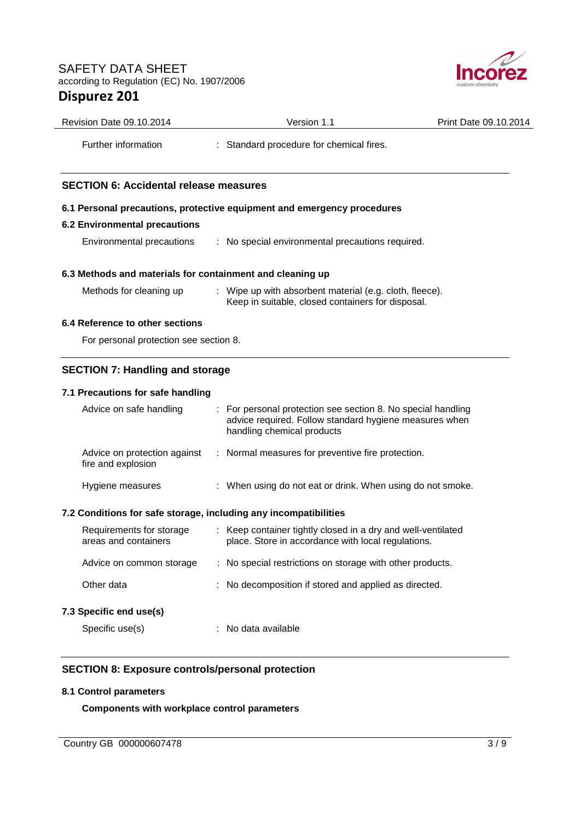

| Revision Date 09.10.2014                                                                    | Version 1.1                                                                                                        | Print Date 09.10.2014 |
|---------------------------------------------------------------------------------------------|--------------------------------------------------------------------------------------------------------------------|-----------------------|
| Further information                                                                         | : Standard procedure for chemical fires.                                                                           |                       |
| <b>SECTION 6: Accidental release measures</b>                                               |                                                                                                                    |                       |
|                                                                                             | 6.1 Personal precautions, protective equipment and emergency procedures                                            |                       |
| <b>6.2 Environmental precautions</b>                                                        |                                                                                                                    |                       |
| Environmental precautions                                                                   | : No special environmental precautions required.                                                                   |                       |
| 6.3 Methods and materials for containment and cleaning up                                   |                                                                                                                    |                       |
| Methods for cleaning up                                                                     | : Wipe up with absorbent material (e.g. cloth, fleece).<br>Keep in suitable, closed containers for disposal.       |                       |
| 6.4 Reference to other sections                                                             |                                                                                                                    |                       |
| For personal protection see section 8.                                                      |                                                                                                                    |                       |
| <b>SECTION 7: Handling and storage</b>                                                      |                                                                                                                    |                       |
| 7.1 Precautions for safe handling                                                           |                                                                                                                    |                       |
| Advice on safe handling                                                                     | For personal protection see section 8. No special handling                                                         |                       |
|                                                                                             | advice required. Follow standard hygiene measures when<br>handling chemical products                               |                       |
| Advice on protection against<br>fire and explosion                                          | : Normal measures for preventive fire protection.                                                                  |                       |
| Hygiene measures                                                                            | : When using do not eat or drink. When using do not smoke.                                                         |                       |
|                                                                                             |                                                                                                                    |                       |
| Requirements for storage<br>areas and containers                                            | : Keep container tightly closed in a dry and well-ventilated<br>place. Store in accordance with local regulations. |                       |
| Advice on common storage                                                                    | : No special restrictions on storage with other products.                                                          |                       |
| Other data                                                                                  | No decomposition if stored and applied as directed.                                                                |                       |
| 7.2 Conditions for safe storage, including any incompatibilities<br>7.3 Specific end use(s) |                                                                                                                    |                       |

### **8.1 Control parameters**

**Components with workplace control parameters**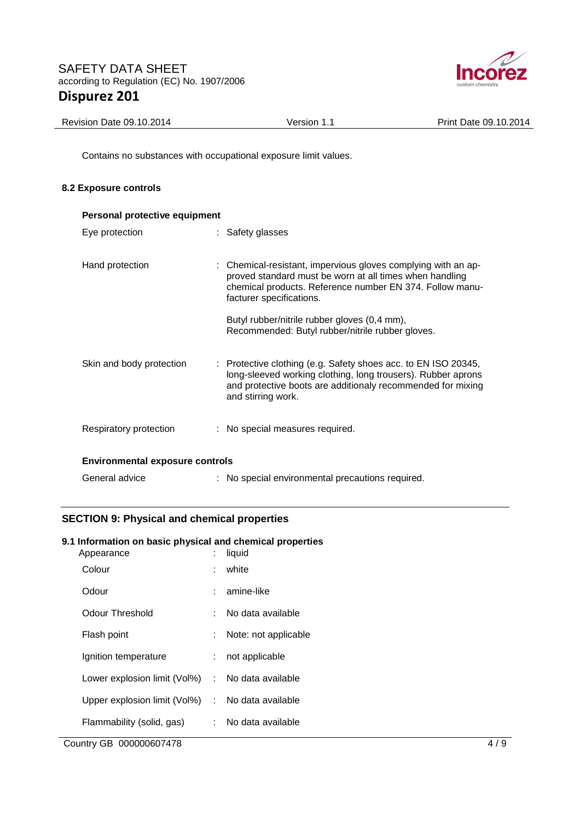

| Revision Date 09.10.2014 | Version 1. | Print Date 09.10.2014 |
|--------------------------|------------|-----------------------|
|                          |            |                       |

Contains no substances with occupational exposure limit values.

### **8.2 Exposure controls**

| Personal protective equipment          |                                                                                                                                                                                                                     |
|----------------------------------------|---------------------------------------------------------------------------------------------------------------------------------------------------------------------------------------------------------------------|
| Eye protection                         | : Safety glasses                                                                                                                                                                                                    |
| Hand protection                        | : Chemical-resistant, impervious gloves complying with an ap-<br>proved standard must be worn at all times when handling<br>chemical products. Reference number EN 374. Follow manu-<br>facturer specifications.    |
|                                        | Butyl rubber/nitrile rubber gloves (0,4 mm),<br>Recommended: Butyl rubber/nitrile rubber gloves.                                                                                                                    |
| Skin and body protection               | : Protective clothing (e.g. Safety shoes acc. to EN ISO 20345,<br>long-sleeved working clothing, long trousers). Rubber aprons<br>and protective boots are additionaly recommended for mixing<br>and stirring work. |
| Respiratory protection                 | : No special measures required.                                                                                                                                                                                     |
| <b>Environmental exposure controls</b> |                                                                                                                                                                                                                     |
| General advice                         | : No special environmental precautions required.                                                                                                                                                                    |

## **SECTION 9: Physical and chemical properties**

### **9.1 Information on basic physical and chemical properties**

| Appearance                                       |    | liquid               |
|--------------------------------------------------|----|----------------------|
| Colour                                           |    | white                |
| Odour                                            |    | amine-like           |
| Odour Threshold                                  |    | No data available    |
| Flash point                                      | t. | Note: not applicable |
| Ignition temperature                             | t. | not applicable       |
| Lower explosion limit (Vol%)                     |    | : No data available  |
| Upper explosion limit (Vol%) : No data available |    |                      |
| Flammability (solid, gas)                        | t. | No data available    |
|                                                  |    |                      |

Country GB 000000607478 4/9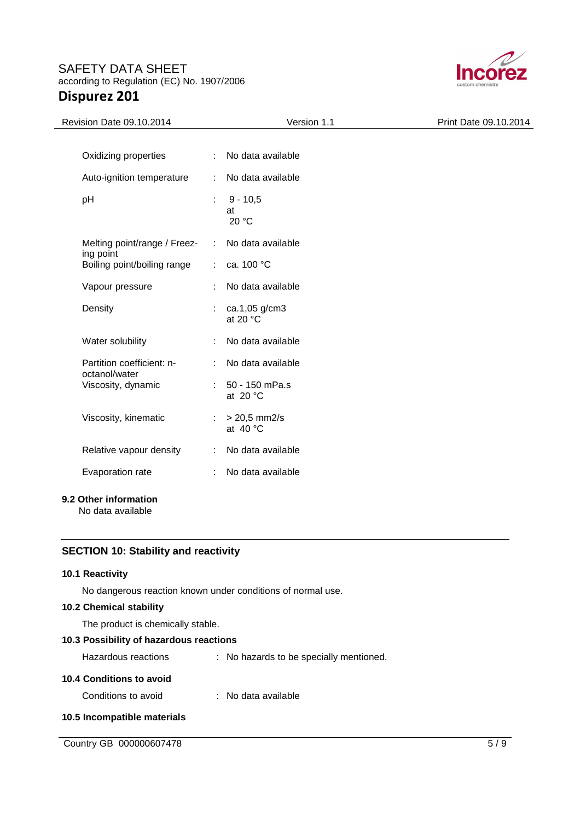

| Revision Date 09.10.2014                   | Version 1.1                               | Print Date 09.10.2014 |
|--------------------------------------------|-------------------------------------------|-----------------------|
|                                            |                                           |                       |
| Oxidizing properties                       | No data available<br>÷                    |                       |
| Auto-ignition temperature                  | No data available<br>÷                    |                       |
| pH                                         | $9 - 10,5$<br>t<br>at<br>20 °C            |                       |
| Melting point/range / Freez-<br>ing point  | No data available<br>÷                    |                       |
| Boiling point/boiling range                | ca. 100 °C<br>$\mathcal{L}^{\mathcal{L}}$ |                       |
| Vapour pressure                            | No data available                         |                       |
| Density                                    | ca.1,05 g/cm3<br>at 20 $\degree$ C        |                       |
| Water solubility                           | No data available                         |                       |
| Partition coefficient: n-<br>octanol/water | No data available<br>÷                    |                       |
| Viscosity, dynamic                         | 50 - 150 mPa.s<br>t<br>at $20 °C$         |                       |
| Viscosity, kinematic                       | $> 20,5$ mm2/s<br>÷<br>at $40^{\circ}$ C  |                       |
| Relative vapour density                    | No data available<br>÷                    |                       |
| Evaporation rate                           | No data available<br>÷                    |                       |
|                                            |                                           |                       |

## **9.2 Other information**

No data available

### **SECTION 10: Stability and reactivity**

### **10.1 Reactivity**

No dangerous reaction known under conditions of normal use.

### **10.2 Chemical stability**

The product is chemically stable.

## **10.3 Possibility of hazardous reactions**

| Hazardous reactions      | : No hazards to be specially mentioned. |  |
|--------------------------|-----------------------------------------|--|
| 10.4 Conditions to avoid |                                         |  |

| Conditions to avoid | No data available |
|---------------------|-------------------|
|                     |                   |

### **10.5 Incompatible materials**

Country GB 000000607478 5/9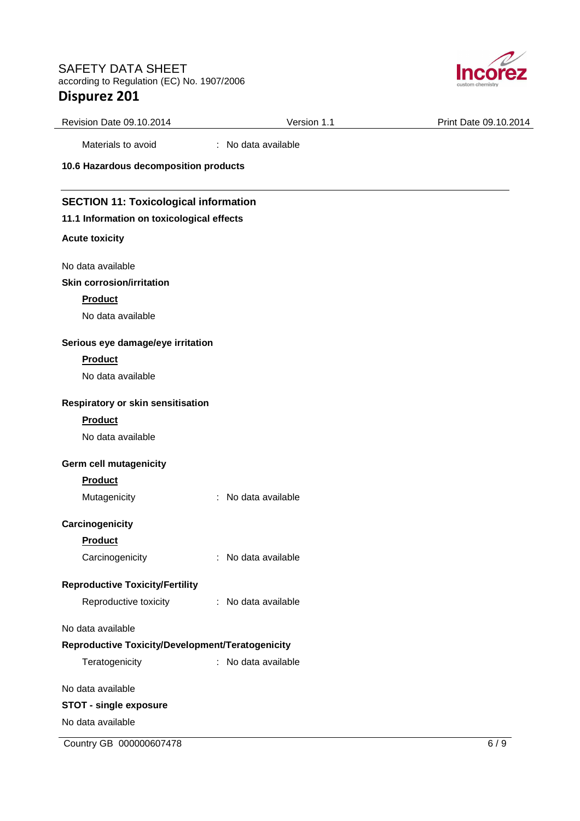

| Revision Date 09.10.2014                         | Version 1.1            | Print Date 09.10.2014 |
|--------------------------------------------------|------------------------|-----------------------|
| Materials to avoid                               | : No data available    |                       |
| 10.6 Hazardous decomposition products            |                        |                       |
| <b>SECTION 11: Toxicological information</b>     |                        |                       |
| 11.1 Information on toxicological effects        |                        |                       |
| <b>Acute toxicity</b>                            |                        |                       |
| No data available                                |                        |                       |
| <b>Skin corrosion/irritation</b>                 |                        |                       |
| <b>Product</b>                                   |                        |                       |
| No data available                                |                        |                       |
| Serious eye damage/eye irritation                |                        |                       |
| <b>Product</b>                                   |                        |                       |
| No data available                                |                        |                       |
| Respiratory or skin sensitisation                |                        |                       |
| <b>Product</b>                                   |                        |                       |
| No data available                                |                        |                       |
| Germ cell mutagenicity                           |                        |                       |
| <b>Product</b>                                   |                        |                       |
| Mutagenicity                                     | No data available<br>÷ |                       |
| Carcinogenicity                                  |                        |                       |
| <b>Product</b>                                   |                        |                       |
| Carcinogenicity                                  | : No data available    |                       |
| <b>Reproductive Toxicity/Fertility</b>           |                        |                       |
| Reproductive toxicity                            | No data available<br>÷ |                       |
| No data available                                |                        |                       |
| Reproductive Toxicity/Development/Teratogenicity |                        |                       |
| Teratogenicity                                   | : No data available    |                       |
| No data available                                |                        |                       |
| <b>STOT - single exposure</b>                    |                        |                       |
| No data available                                |                        |                       |

Country GB 000000607478 6 / 9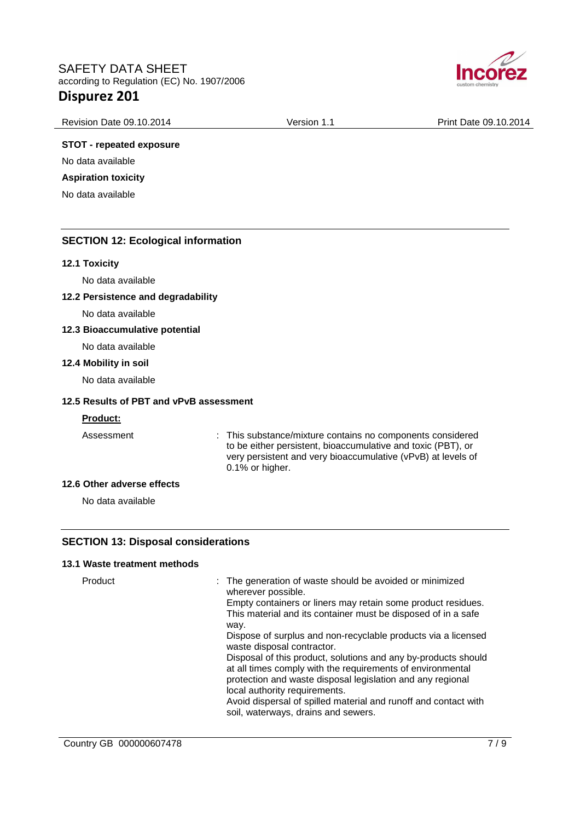

| <b>Revision Date 09.10.2014</b> | Version<br>. | 09.10.2014<br>Print<br>⊃ate ′ |
|---------------------------------|--------------|-------------------------------|
|                                 |              |                               |

### **STOT - repeated exposure**

No data available

### **Aspiration toxicity**

No data available

### **SECTION 12: Ecological information**

#### **12.1 Toxicity**

No data available

### **12.2 Persistence and degradability**

No data available

### **12.3 Bioaccumulative potential**

No data available

#### **12.4 Mobility in soil**

No data available

### **12.5 Results of PBT and vPvB assessment**

### **Product:**

Assessment : This substance/mixture contains no components considered to be either persistent, bioaccumulative and toxic (PBT), or very persistent and very bioaccumulative (vPvB) at levels of 0.1% or higher.

### **12.6 Other adverse effects**

No data available

### **SECTION 13: Disposal considerations**

### **13.1 Waste treatment methods**

Product **Example 20 Finds** : The generation of waste should be avoided or minimized wherever possible. Empty containers or liners may retain some product residues. This material and its container must be disposed of in a safe way. Dispose of surplus and non-recyclable products via a licensed waste disposal contractor. Disposal of this product, solutions and any by-products should at all times comply with the requirements of environmental protection and waste disposal legislation and any regional local authority requirements. Avoid dispersal of spilled material and runoff and contact with soil, waterways, drains and sewers.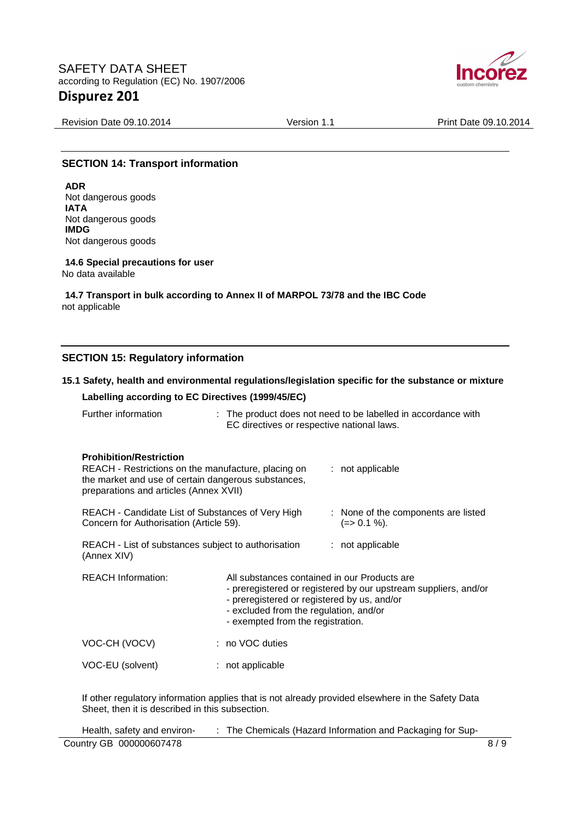

Revision Date 09.10.2014 <br>
Version 1.1 Print Date 09.10.2014

### **SECTION 14: Transport information**

**ADR** Not dangerous goods **IATA** Not dangerous goods **IMDG** Not dangerous goods

**14.6 Special precautions for user** No data available

**14.7 Transport in bulk according to Annex II of MARPOL 73/78 and the IBC Code** not applicable

### **SECTION 15: Regulatory information**

### **15.1 Safety, health and environmental regulations/legislation specific for the substance or mixture**

### **Labelling according to EC Directives (1999/45/EC)**

| Further information | The product does not need to be labelled in accordance with |
|---------------------|-------------------------------------------------------------|
|                     | EC directives or respective national laws.                  |

#### **Prohibition/Restriction**

| REACH - Restrictions on the manufacture, placing on<br>the market and use of certain dangerous substances,<br>preparations and articles (Annex XVII) |                                                                                                                                                                                                                                               | $:$ not applicable                                  |
|------------------------------------------------------------------------------------------------------------------------------------------------------|-----------------------------------------------------------------------------------------------------------------------------------------------------------------------------------------------------------------------------------------------|-----------------------------------------------------|
| REACH - Candidate List of Substances of Very High<br>Concern for Authorisation (Article 59).                                                         |                                                                                                                                                                                                                                               | : None of the components are listed<br>$(=>0.1\%).$ |
| REACH - List of substances subject to authorisation<br>(Annex XIV)                                                                                   |                                                                                                                                                                                                                                               | $:$ not applicable                                  |
| <b>REACH Information:</b>                                                                                                                            | All substances contained in our Products are<br>- preregistered or registered by our upstream suppliers, and/or<br>- preregistered or registered by us, and/or<br>- excluded from the regulation, and/or<br>- exempted from the registration. |                                                     |
| VOC-CH (VOCV)                                                                                                                                        | : no VOC duties                                                                                                                                                                                                                               |                                                     |
| VOC-EU (solvent)                                                                                                                                     | : not applicable                                                                                                                                                                                                                              |                                                     |

If other regulatory information applies that is not already provided elsewhere in the Safety Data Sheet, then it is described in this subsection.

| Health, safety and environ- | The Chemicals (Hazard Information and Packaging for Sup- |     |
|-----------------------------|----------------------------------------------------------|-----|
| Country GB 000000607478     |                                                          | 8/9 |